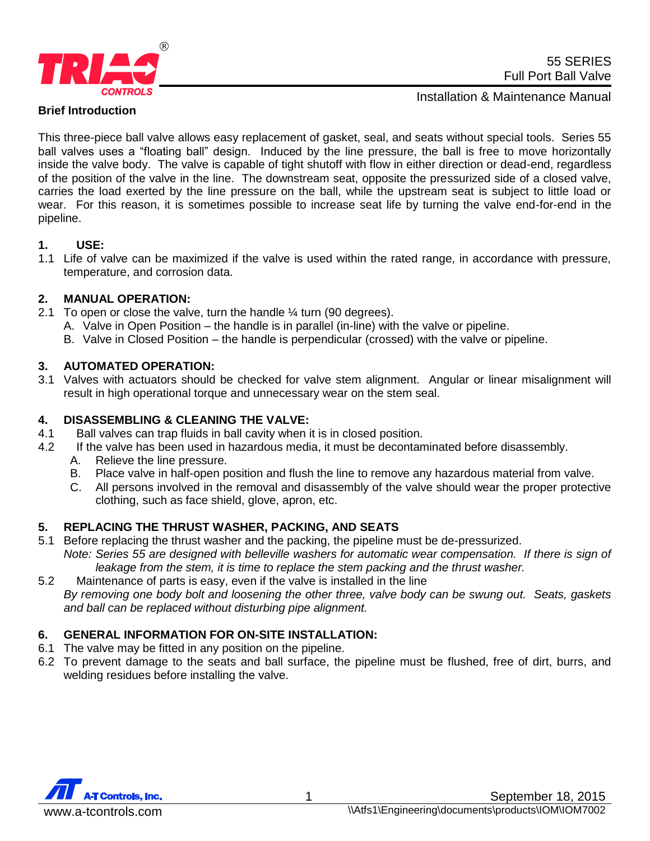

### **Brief Introduction**

Installation & Maintenance Manual

This three-piece ball valve allows easy replacement of gasket, seal, and seats without special tools. Series 55 ball valves uses a "floating ball" design. Induced by the line pressure, the ball is free to move horizontally inside the valve body. The valve is capable of tight shutoff with flow in either direction or dead-end, regardless of the position of the valve in the line. The downstream seat, opposite the pressurized side of a closed valve, carries the load exerted by the line pressure on the ball, while the upstream seat is subject to little load or wear. For this reason, it is sometimes possible to increase seat life by turning the valve end-for-end in the pipeline.

#### **1. USE:**

1.1 Life of valve can be maximized if the valve is used within the rated range, in accordance with pressure, temperature, and corrosion data.

# **2. MANUAL OPERATION:**

- 2.1 To open or close the valve, turn the handle  $\frac{1}{4}$  turn (90 degrees).
	- A. Valve in Open Position the handle is in parallel (in-line) with the valve or pipeline.
	- B. Valve in Closed Position the handle is perpendicular (crossed) with the valve or pipeline.

#### **3. AUTOMATED OPERATION:**

3.1 Valves with actuators should be checked for valve stem alignment. Angular or linear misalignment will result in high operational torque and unnecessary wear on the stem seal.

#### **4. DISASSEMBLING & CLEANING THE VALVE:**

- 4.1 Ball valves can trap fluids in ball cavity when it is in closed position.
- 4.2 If the valve has been used in hazardous media, it must be decontaminated before disassembly.
	- A. Relieve the line pressure.
	- B. Place valve in half-open position and flush the line to remove any hazardous material from valve.
	- C. All persons involved in the removal and disassembly of the valve should wear the proper protective clothing, such as face shield, glove, apron, etc.

# **5. REPLACING THE THRUST WASHER, PACKING, AND SEATS**

- 5.1 Before replacing the thrust washer and the packing, the pipeline must be de-pressurized. *Note: Series 55 are designed with belleville washers for automatic wear compensation. If there is sign of leakage from the stem, it is time to replace the stem packing and the thrust washer.*
- 5.2 Maintenance of parts is easy, even if the valve is installed in the line *By removing one body bolt and loosening the other three, valve body can be swung out. Seats, gaskets and ball can be replaced without disturbing pipe alignment.*

# **6. GENERAL INFORMATION FOR ON-SITE INSTALLATION:**

- 6.1 The valve may be fitted in any position on the pipeline.
- 6.2 To prevent damage to the seats and ball surface, the pipeline must be flushed, free of dirt, burrs, and welding residues before installing the valve.

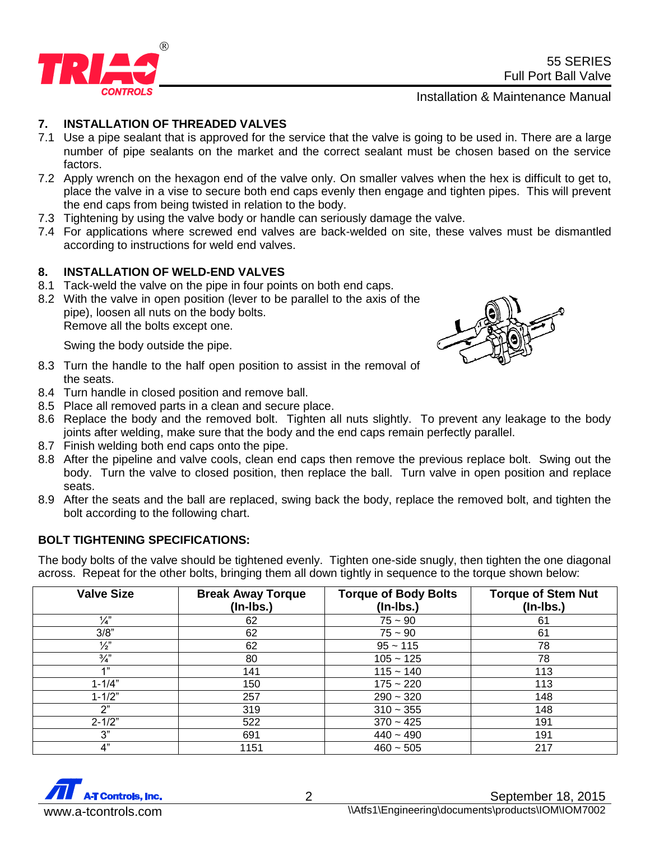

55 SERIES Full Port Ball Valve

Installation & Maintenance Manual

### **7. INSTALLATION OF THREADED VALVES**

- 7.1 Use a pipe sealant that is approved for the service that the valve is going to be used in. There are a large number of pipe sealants on the market and the correct sealant must be chosen based on the service factors.
- 7.2 Apply wrench on the hexagon end of the valve only. On smaller valves when the hex is difficult to get to, place the valve in a vise to secure both end caps evenly then engage and tighten pipes. This will prevent the end caps from being twisted in relation to the body.
- 7.3 Tightening by using the valve body or handle can seriously damage the valve.
- 7.4 For applications where screwed end valves are back-welded on site, these valves must be dismantled according to instructions for weld end valves.

#### **8. INSTALLATION OF WELD-END VALVES**

- 8.1 Tack-weld the valve on the pipe in four points on both end caps.
- 8.2 With the valve in open position (lever to be parallel to the axis of the pipe), loosen all nuts on the body bolts. Remove all the bolts except one.

Swing the body outside the pipe.

- 8.3 Turn the handle to the half open position to assist in the removal of the seats.
- 8.4 Turn handle in closed position and remove ball.
- 8.5 Place all removed parts in a clean and secure place.
- 8.6 Replace the body and the removed bolt. Tighten all nuts slightly. To prevent any leakage to the body joints after welding, make sure that the body and the end caps remain perfectly parallel.
- 8.7 Finish welding both end caps onto the pipe.
- 8.8 After the pipeline and valve cools, clean end caps then remove the previous replace bolt. Swing out the body. Turn the valve to closed position, then replace the ball. Turn valve in open position and replace seats.
- 8.9 After the seats and the ball are replaced, swing back the body, replace the removed bolt, and tighten the bolt according to the following chart.

# **BOLT TIGHTENING SPECIFICATIONS:**

The body bolts of the valve should be tightened evenly. Tighten one-side snugly, then tighten the one diagonal across. Repeat for the other bolts, bringing them all down tightly in sequence to the torque shown below:

| <b>Valve Size</b> | <b>Break Away Torque</b><br>$($ ln-lbs. $)$ | <b>Torque of Body Bolts</b><br>$($ ln-lbs. $)$ | <b>Torque of Stem Nut</b><br>$($ ln-lbs. $)$ |
|-------------------|---------------------------------------------|------------------------------------------------|----------------------------------------------|
| $\frac{1}{4}$     | 62                                          | $75 - 90$                                      | 61                                           |
| 3/8"              | 62                                          | $75 - 90$                                      | 61                                           |
| $\frac{1}{2}$     | 62                                          | $95 - 115$                                     | 78                                           |
| $\frac{3}{4}$     | 80                                          | $105 - 125$                                    | 78                                           |
| 4"                | 141                                         | $115 - 140$                                    | 113                                          |
| $1 - 1/4"$        | 150                                         | $175 - 220$                                    | 113                                          |
| $1 - 1/2"$        | 257                                         | $290 - 320$                                    | 148                                          |
| 2"                | 319                                         | $310 - 355$                                    | 148                                          |
| $2 - 1/2"$        | 522                                         | $370 - 425$                                    | 191                                          |
| 3"                | 691                                         | $440 - 490$                                    | 191                                          |
| 4"                | 1151                                        | $460 - 505$                                    | 217                                          |